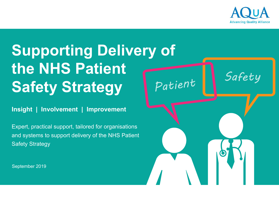

# **Supporting Delivery of the NHS Patient Safety Strategy**

**Insight | Involvement | Improvement**

Expert, practical support, tailored for organisations and systems to support delivery of the NHS Patient Safety Strategy

Patient Safety

September 2019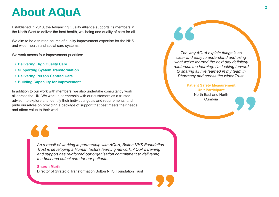### **About AQuA <sup>2</sup>**

Established in 2010, the Advancing Quality Alliance supports its members in the North West to deliver the best health, wellbeing and quality of care for all.

We aim to be a trusted source of quality improvement expertise for the NHS and wider health and social care systems.

We work across four improvement priorities:

- **• Delivering High Quality Care**
- **• Supporting System Transformation**
- **• Delivering Person Centred Care**
- **• Building Capability for Improvement**

In addition to our work with members, we also undertake consultancy work all across the UK. We work in partnership with our customers as a trusted advisor, to explore and identify their individual goals and requirements, and pride ourselves on providing a package of support that best meets their needs and offers value to their work.

*The way AQuA explain things is so clear and easy to understand and using what we've learned the next day definitely reinforces the learning. I'm looking forward to sharing all I've learned in my team in Pharmacy and across the wider Trust.*

> **Patient Safety Measurement Unit Participant** North East and North Cumbria

*As a result of working in partnership with AQuA, Bolton NHS Foundation Trust is developing a Human factors learning network. AQuA's training and support has reinforced our organisation commitment to delivering the best and safest care for our patients.*

#### **Sharon Martin**

Director of Strategic Transformation Bolton NHS Foundation Trust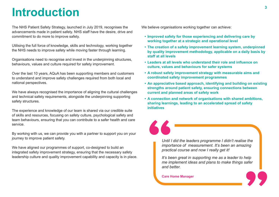### **Introduction**

The NHS Patient Safety Strategy, launched in July 2019, recognises the advancements made in patient safety. NHS staff have the desire, drive and commitment to do more to improve safety.

Utilising the full force of knowledge, skills and technology, working together the NHS needs to improve safety while moving faster through learning.

Organisations need to recognise and invest in the underpinning structures, behaviours, values and culture required for safety improvement.

Over the last 10 years, AQuA has been supporting members and customers to understand and improve safety challenges required from both local and national perspectives.

We have always recognised the importance of aligning the cultural challenges and technical safety requirements, alongside the underpinning supporting safety structures.

The experience and knowledge of our team is shared via our credible suite of skills and resources, focusing on safety culture, psychological safety and team behaviours, ensuring that you can contribute to a safer health and care service.

By working with us, we can provide you with a partner to support you on your journey to improve patient safety.

We have aligned our programmes of support, co-designed to build an integrated safety improvement strategy, ensuring that the necessary safety leadership culture and quality improvement capability and capacity is in place.

We believe organisations working together can achieve:

- **• Improved safety for those experiencing and delivering care by working together at a strategic and operational level**
- **• The creation of a safety improvement learning system, underpinned by quality improvement methodology, applicable on a daily basis by staff at all levels**
- Leaders at all levels who understand their role and influence on **culture, values and behaviours for safer systems**
- **• A robust safety improvement strategy with measurable aims and coordinated safety improvement programmes**
- **• An appreciative based approach, identifying and building on existing strengths around patient safety, ensuring connections between current and planned areas of safety work**
- **• A connection and network of organisations with shared ambitions, sharing learnings, leading to an accelerated spread of safety initiatives**

*Until I did the leaders programme I didn't realise the importance of measurement. It's been an amazing practical course and now I really get it!* 

*It's been great in supporting me as a leader to help me implement ideas and plans to make things safer and better.*

**Care Home Manager**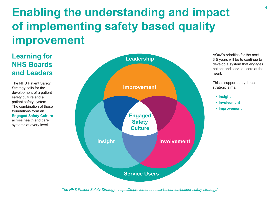## **Enabling the understanding and impact of implementing safety based quality improvement**

### **Learning for NHS Boards and Leaders**

The NHS Patient Safety Strategy calls for the development of a patient safety culture and a patient safety system. The combination of these foundations form an **Engaged Safety Culture** across health and care systems at every level.



AQuA's priorities for the next 3-5 years will be to continue to develop a system that engages patient and service users at the heart.

This is supported by three strategic aims:

- **• Insight**
- **• Involvement**
- **• Improvement**

*The NHS Patient Safety Strategy - https://improvement.nhs.uk/resources/patient-safety-strategy/*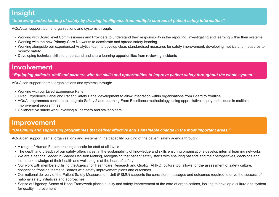#### **Insight**

*"Improving understanding of safety by drawing intelligence from multiple sources of patient safety information."*

AQuA can support teams, organisations and systems through:

- • Working with Board level Commissioners and Providers to understand their responsibility in the reporting, investigating and learning within their systems
- • Working with the new Primary Care Networks to accelerate and spread safety learning
- Working alongside our experienced Analytics team to develop clear, standardised measures for safety improvement, developing metrics and measures to monitor safety
- • Developing technical skills to understand and share learning opportunities from reviewing incidents

### **Involvement**

*"Equipping patients, staff and partners with the skills and opportunities to improve patient safety throughout the whole system."*

AQuA can support teams, organisations and systems through:

- Working with our Lived Experience Panel
- Lived Experience Panel and Patient Safety Panel development to allow integration within organisations from Board to frontline
- AQuA programmes continue to integrate Safety 2 and Learning From Excellence methodology, using appreciative inquiry techniques in multiple improvement programmes
- • Collaborative safety work involving all partners and stakeholders

#### **Improvement**

*"Designing and supporting programmes that deliver effective and sustainable change in the most important areas."*

AQuA can support teams, organisations and systems in the capability building of the patient safety agenda through:

- A range of Human Factors training at scale for staff at all levels
- The depth and breadth of our safety offers invest in the sustainability of knowledge and skills ensuring organisations develop internal learning networks
- • We are a national leader in Shared Decision Making, recognising that patient safety starts with ensuring patients and their perspectives, decisions and intimate knowledge of their health and wellbeing is at the heart of safety
- • Our work with members utilising the Agency for Healthcare Research and Quality (AHRQ) culture tool allows for the assessment of safety culture, connecting frontline teams to Boards with safety improvement plans and outcomes
- Our national delivery of the Patient Safety Measurement Unit (PSMU) supports the consistent messages and outcomes required to drive the success of national safety initiatives and approaches
- • Sense of Urgency, Sense of Hope Framework places quality and safety improvement at the core of organisations, looking to develop a culture and system for quality improvement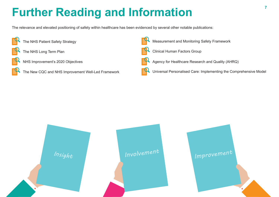## **Further Reading and Information**

The relevance and elevated positioning of safety within healthcare has been evidenced by several other notable publications:



- The NHS Patient Safety Strategy
- The NHS Long Term Plan



- NHS Improvement's 2020 Objectives
- The New CQC and NHS Improvement Well-Led Framework



Measurement and Monitoring Safety Framework



Clinical Human Factors Group



Universal Personalised Care: Implementing the Comprehensive Model

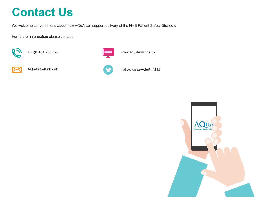### **Contact Us**

We welcome conversations about how AQuA can support delivery of the NHS Patient Safety Strategy.

For further information please contact:



+44(0)161 206 8936



AQuA@srft.nhs.uk



www.AQuAnw.nhs.uk



Follow us @AQuA\_NHS